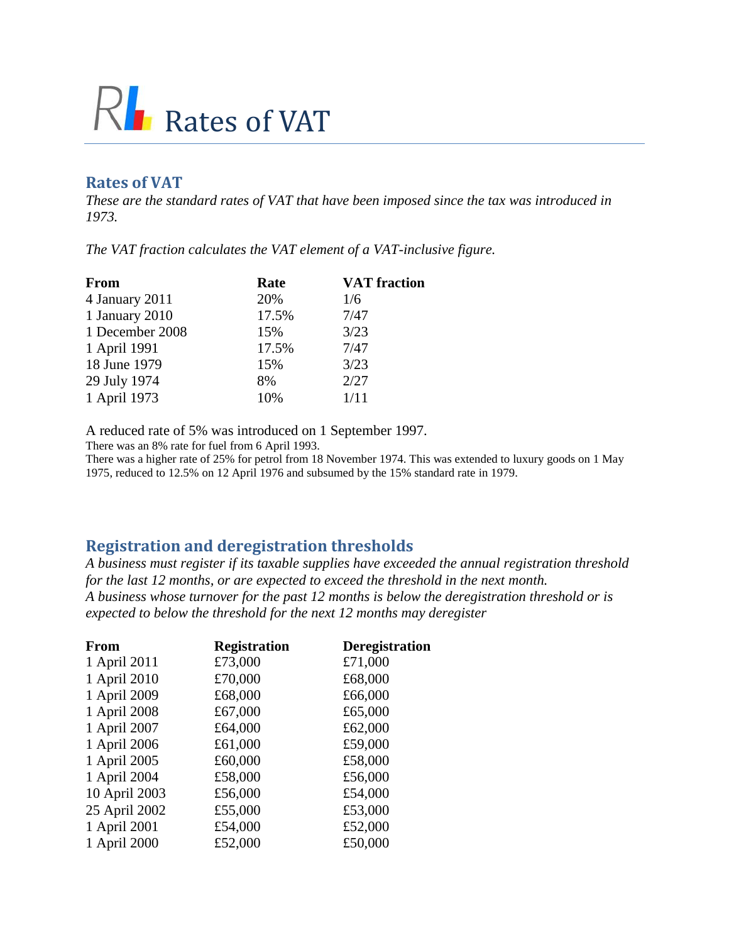## $R<sub>l</sub>$  Rates of VAT

## **Rates of VAT**

*These are the standard rates of VAT that have been imposed since the tax was introduced in 1973.* 

*The VAT fraction calculates the VAT element of a VAT-inclusive figure.*

| <b>From</b>     | Rate  | <b>VAT</b> fraction |
|-----------------|-------|---------------------|
| 4 January 2011  | 20%   | 1/6                 |
| 1 January 2010  | 17.5% | 7/47                |
| 1 December 2008 | 15%   | 3/23                |
| 1 April 1991    | 17.5% | 7/47                |
| 18 June 1979    | 15%   | 3/23                |
| 29 July 1974    | 8%    | 2/27                |
| 1 April 1973    | 10%   | 1/11                |
|                 |       |                     |

A reduced rate of 5% was introduced on 1 September 1997.

There was an 8% rate for fuel from 6 April 1993.

There was a higher rate of 25% for petrol from 18 November 1974. This was extended to luxury goods on 1 May 1975, reduced to 12.5% on 12 April 1976 and subsumed by the 15% standard rate in 1979.

## **Registration and deregistration thresholds**

*A business must register if its taxable supplies have exceeded the annual registration threshold for the last 12 months, or are expected to exceed the threshold in the next month. A business whose turnover for the past 12 months is below the deregistration threshold or is expected to below the threshold for the next 12 months may deregister*

| From          | <b>Registration</b> | <b>Deregistration</b> |
|---------------|---------------------|-----------------------|
| 1 April 2011  | £73,000             | £71,000               |
| 1 April 2010  | £70,000             | £68,000               |
| 1 April 2009  | £68,000             | £66,000               |
| 1 April 2008  | £67,000             | £65,000               |
| 1 April 2007  | £64,000             | £62,000               |
| 1 April 2006  | £61,000             | £59,000               |
| 1 April 2005  | £60,000             | £58,000               |
| 1 April 2004  | £58,000             | £56,000               |
| 10 April 2003 | £56,000             | £54,000               |
| 25 April 2002 | £55,000             | £53,000               |
| 1 April 2001  | £54,000             | £52,000               |
| 1 April 2000  | £52,000             | £50,000               |